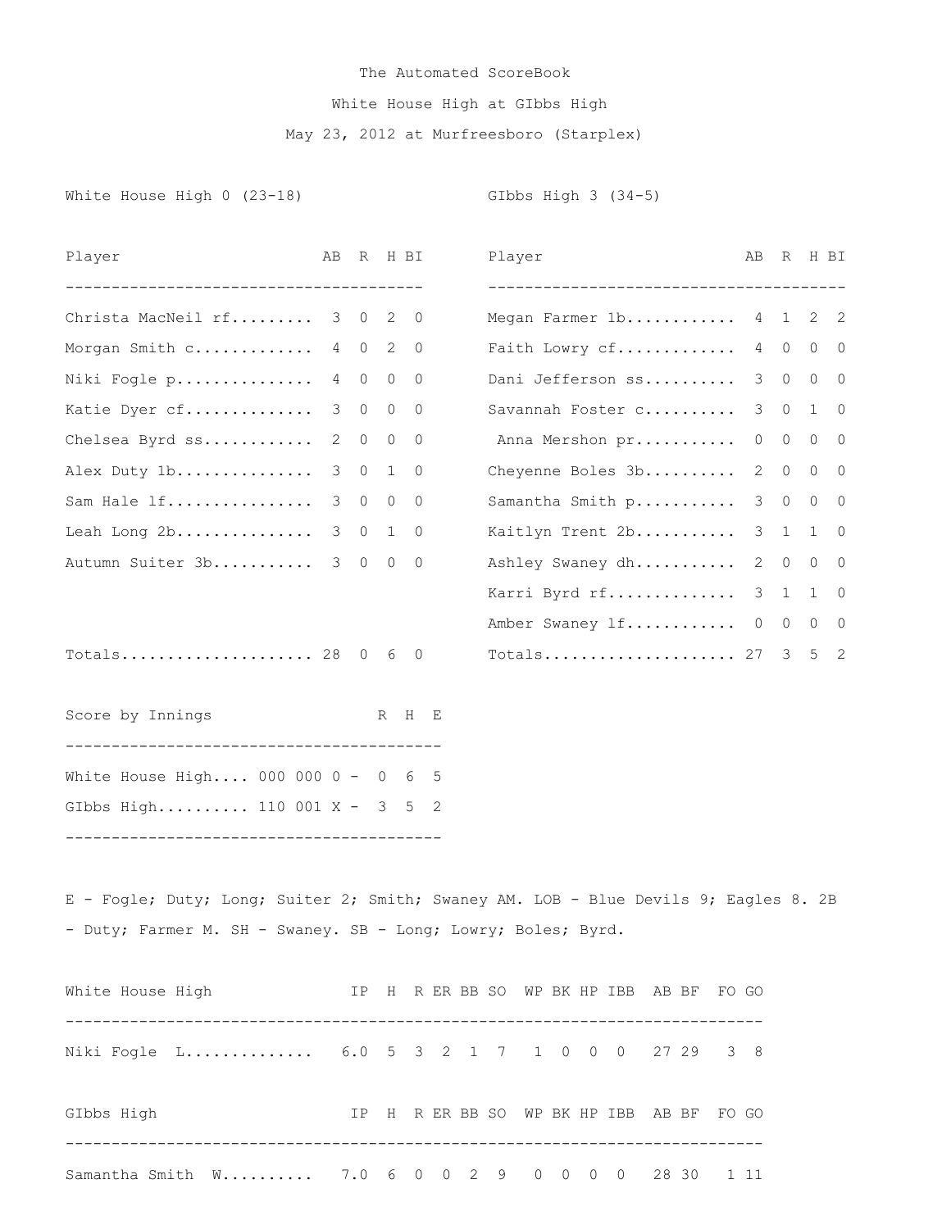## The Automated ScoreBook White House High at GIbbs High May 23, 2012 at Murfreesboro (Starplex)

White House High 0 (23-18) GIbbs High 3 (34-5)

| Player                                                               | AВ | R              |              | H BI        | Player<br>__________________________________ | AВ             | R           |             | H BI           |
|----------------------------------------------------------------------|----|----------------|--------------|-------------|----------------------------------------------|----------------|-------------|-------------|----------------|
| Christa MacNeil rf 3 0 2                                             |    |                |              | $\cup$      | Megan Farmer 1b 4 1 2 2                      |                |             |             |                |
| Morgan Smith c                                                       |    | 4 0            | 2            | $\mathbf 0$ | Faith Lowry cf                               | 4              | $\circ$     |             | $0\qquad 0$    |
| Niki Fogle p                                                         |    | 4 0            | $\circ$      | $\Omega$    | Dani Jefferson ss                            | 3              | $\circ$     |             | $0\quad 0$     |
| Katie Dyer cf                                                        | 3  | $\overline{0}$ | $\circ$      | $\circ$     | Savannah Foster c                            | 3              | $\circ$     | $1 \quad 0$ |                |
| Chelsea Byrd ss                                                      | 2  | $\overline{0}$ | $\circ$      | $\circ$     | Anna Mershon pr                              | $\circ$        | $\circ$     | $0\quad 0$  |                |
| Alex Duty 1b                                                         | 3  |                | $0\quad 1$   | $\Omega$    | Cheyenne Boles 3b                            | $\overline{2}$ | $\circ$     |             | $0\quad 0$     |
| Sam Hale lf                                                          | 3  | $\overline{0}$ | $\circ$      | $\Omega$    | Samantha Smith p                             | 3              | $\circ$     | $0\quad 0$  |                |
| Leah Long 2b                                                         | 3  | $\overline{0}$ | $\mathbf{1}$ | $\circ$     | Kaitlyn Trent 2b                             | 3              | 1           | 1           | $\overline{0}$ |
| Autumn Suiter 3b                                                     | 3  | $\overline{0}$ | 0            | $\mathbf 0$ | Ashley Swaney dh                             | 2              | $\circ$     | $\circ$     | $\overline{0}$ |
|                                                                      |    |                |              |             | Karri Byrd rf                                |                | $3 \quad 1$ | $1 \quad 0$ |                |
|                                                                      |    |                |              |             | Amber Swaney 1f 0                            |                | $\circ$     | $\circ$     | $\overline{0}$ |
| Totals 28 0 6 0                                                      |    |                |              |             |                                              |                |             |             | 5 <sub>2</sub> |
| Score by Innings                                                     |    |                |              | R H E       |                                              |                |             |             |                |
| White House High 000 000 0 - 0 6 5                                   |    |                |              |             |                                              |                |             |             |                |
| GIbbs High 110 001 X - 3 5 2<br>____________________________________ |    |                |              |             |                                              |                |             |             |                |
|                                                                      |    |                |              |             |                                              |                |             |             |                |

E - Fogle; Duty; Long; Suiter 2; Smith; Swaney AM. LOB - Blue Devils 9; Eagles 8. 2B - Duty; Farmer M. SH - Swaney. SB - Long; Lowry; Boles; Byrd.

| White House High |                                                   |     |  |  |  |  | IP H R ER BB SO WP BK HP IBB AB BF FO GO |       |  |       |
|------------------|---------------------------------------------------|-----|--|--|--|--|------------------------------------------|-------|--|-------|
|                  | Niki Fogle L 6.0 5 3 2 1 7 1 0 0 0 27 29 3 8      |     |  |  |  |  |                                          |       |  |       |
| GIbbs High       |                                                   | TP. |  |  |  |  | H R ER BB SO WP BK HP IBB                | AB BF |  | FO GO |
|                  | Samantha Smith W 7.0 6 0 0 2 9 0 0 0 0 28 30 1 11 |     |  |  |  |  |                                          |       |  |       |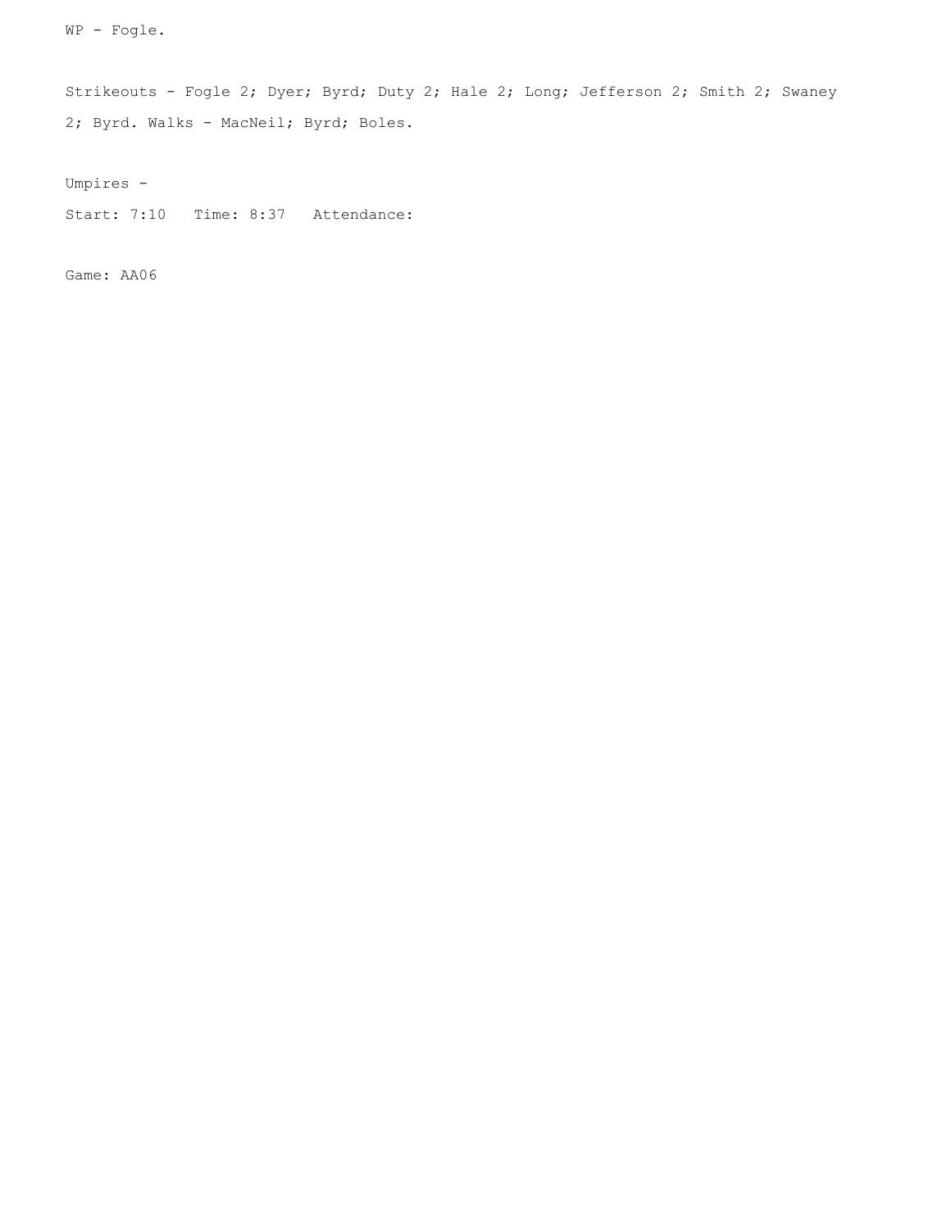WP - Fogle.

Strikeouts - Fogle 2; Dyer; Byrd; Duty 2; Hale 2; Long; Jefferson 2; Smith 2; Swaney 2; Byrd. Walks - MacNeil; Byrd; Boles.

Umpires -

Start: 7:10 Time: 8:37 Attendance:

Game: AA06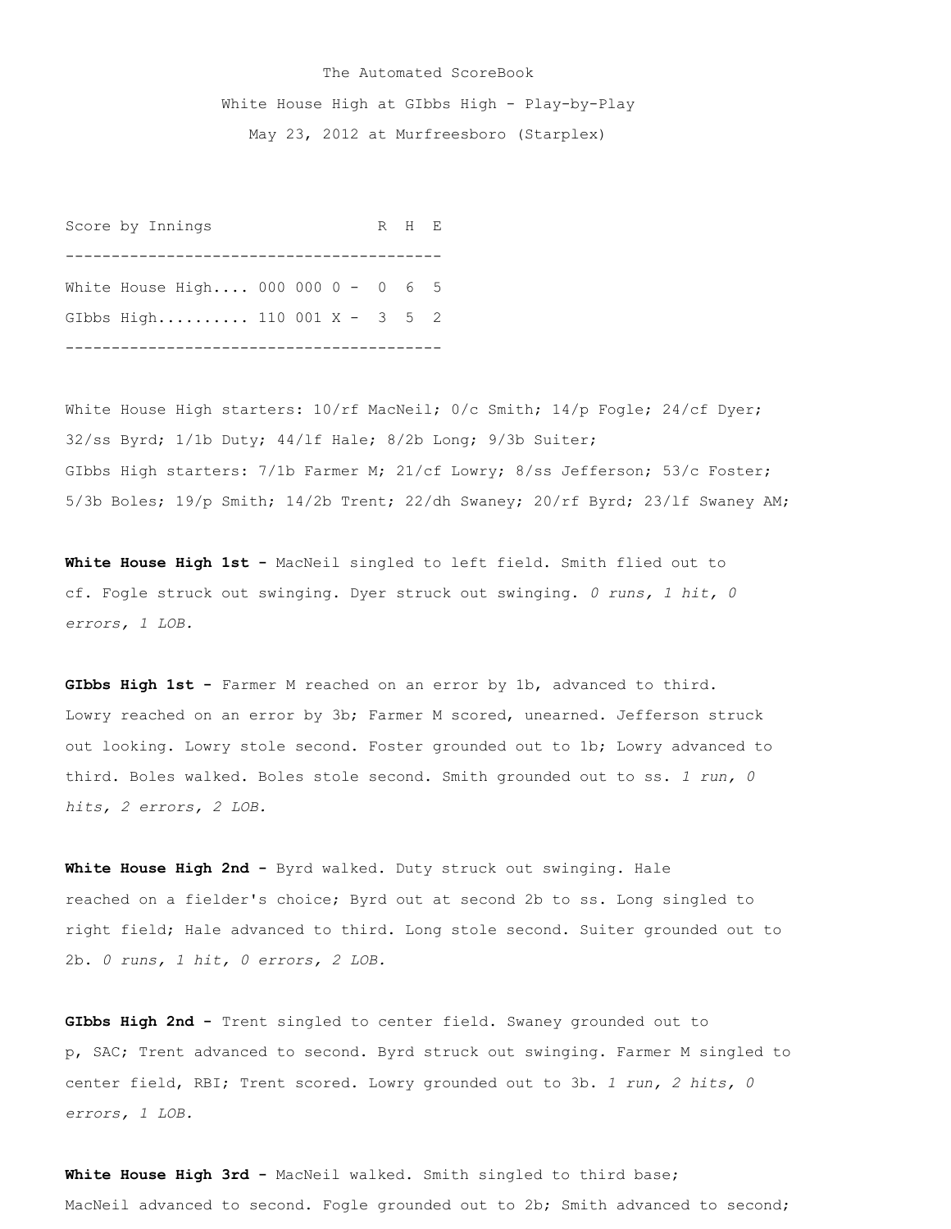## The Automated ScoreBook White House High at GIbbs High - Play-by-Play May 23, 2012 at Murfreesboro (Starplex)

Score by Innings R H E ----------------------------------------- White House High.... 000 000 0 - 0 6 5 GIbbs High.......... 110 001 X - 3 5 2 -----------------------------------------

White House High starters:  $10/rf$  MacNeil; 0/c Smith; 14/p Fogle; 24/cf Dyer; 32/ss Byrd; 1/1b Duty; 44/lf Hale; 8/2b Long; 9/3b Suiter; GIbbs High starters: 7/1b Farmer M; 21/cf Lowry; 8/ss Jefferson; 53/c Foster; 5/3b Boles; 19/p Smith; 14/2b Trent; 22/dh Swaney; 20/rf Byrd; 23/lf Swaney AM;

**White House High 1st -** MacNeil singled to left field. Smith flied out to cf. Fogle struck out swinging. Dyer struck out swinging. *0 runs, 1 hit, 0 errors, 1 LOB.*

**GIbbs High 1st -** Farmer M reached on an error by 1b, advanced to third. Lowry reached on an error by 3b; Farmer M scored, unearned. Jefferson struck out looking. Lowry stole second. Foster grounded out to 1b; Lowry advanced to third. Boles walked. Boles stole second. Smith grounded out to ss. *1 run, 0 hits, 2 errors, 2 LOB.*

**White House High 2nd -** Byrd walked. Duty struck out swinging. Hale reached on a fielder's choice; Byrd out at second 2b to ss. Long singled to right field; Hale advanced to third. Long stole second. Suiter grounded out to 2b. *0 runs, 1 hit, 0 errors, 2 LOB.*

**GIbbs High 2nd -** Trent singled to center field. Swaney grounded out to p, SAC; Trent advanced to second. Byrd struck out swinging. Farmer M singled to center field, RBI; Trent scored. Lowry grounded out to 3b. *1 run, 2 hits, 0 errors, 1 LOB.*

White House High 3rd - MacNeil walked. Smith singled to third base; MacNeil advanced to second. Fogle grounded out to 2b; Smith advanced to second;